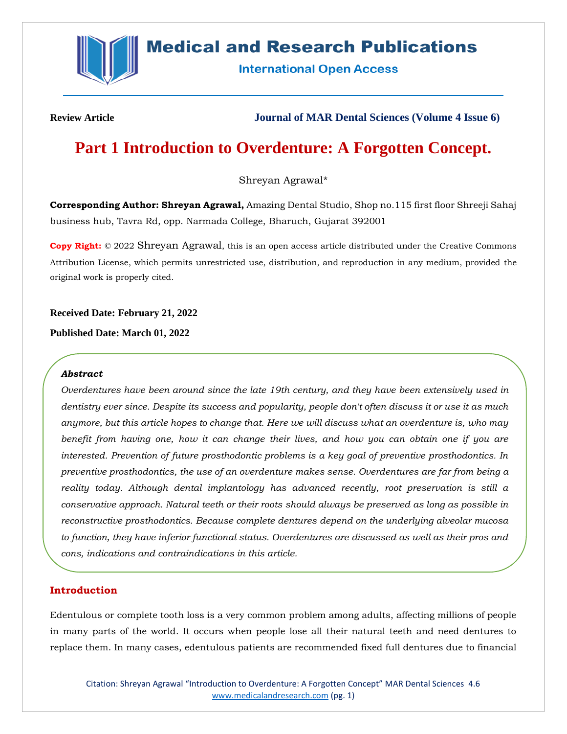

# **Medical and Research Publications**

**International Open Access** 

**Review Article Journal of MAR Dental Sciences (Volume 4 Issue 6)**

# **Part 1 Introduction to Overdenture: A Forgotten Concept.**

Shreyan Agrawal\*

**Corresponding Author: Shreyan Agrawal,** Amazing Dental Studio, Shop no.115 first floor Shreeji Sahaj business hub, Tavra Rd, opp. Narmada College, Bharuch, Gujarat 392001

**Copy Right:** © 2022 Shreyan Agrawal, this is an open access article distributed under the Creative Commons Attribution License, which permits unrestricted use, distribution, and reproduction in any medium, provided the original work is properly cited.

**Received Date: February 21, 2022**

**Published Date: March 01, 2022**

#### *Abstract*

*Overdentures have been around since the late 19th century, and they have been extensively used in dentistry ever since. Despite its success and popularity, people don't often discuss it or use it as much anymore, but this article hopes to change that. Here we will discuss what an overdenture is, who may benefit from having one, how it can change their lives, and how you can obtain one if you are interested. Prevention of future prosthodontic problems is a key goal of preventive prosthodontics. In preventive prosthodontics, the use of an overdenture makes sense. Overdentures are far from being a reality today. Although dental implantology has advanced recently, root preservation is still a conservative approach. Natural teeth or their roots should always be preserved as long as possible in reconstructive prosthodontics. Because complete dentures depend on the underlying alveolar mucosa to function, they have inferior functional status. Overdentures are discussed as well as their pros and cons, indications and contraindications in this article.*

## **Introduction**

Edentulous or complete tooth loss is a very common problem among adults, affecting millions of people in many parts of the world. It occurs when people lose all their natural teeth and need dentures to replace them. In many cases, edentulous patients are recommended fixed full dentures due to financial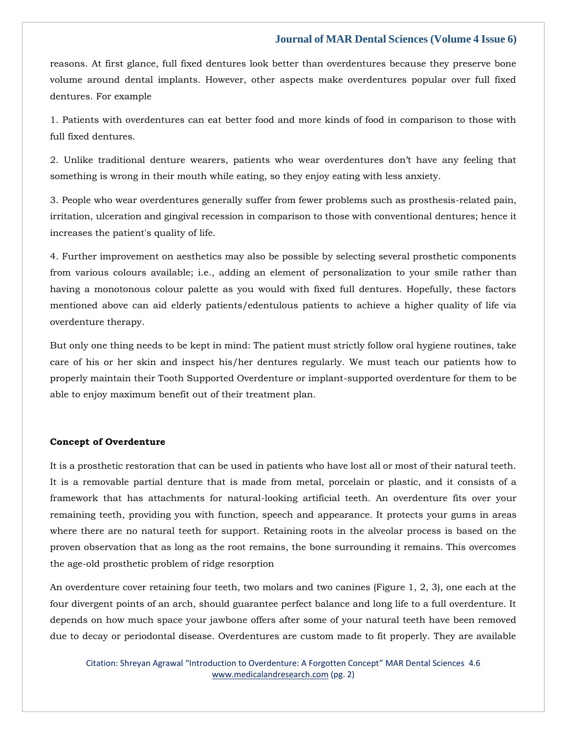reasons. At first glance, full fixed dentures look better than overdentures because they preserve bone volume around dental implants. However, other aspects make overdentures popular over full fixed dentures. For example

1. Patients with overdentures can eat better food and more kinds of food in comparison to those with full fixed dentures.

2. Unlike traditional denture wearers, patients who wear overdentures don't have any feeling that something is wrong in their mouth while eating, so they enjoy eating with less anxiety.

3. People who wear overdentures generally suffer from fewer problems such as prosthesis-related pain, irritation, ulceration and gingival recession in comparison to those with conventional dentures; hence it increases the patient's quality of life.

4. Further improvement on aesthetics may also be possible by selecting several prosthetic components from various colours available; i.e., adding an element of personalization to your smile rather than having a monotonous colour palette as you would with fixed full dentures. Hopefully, these factors mentioned above can aid elderly patients/edentulous patients to achieve a higher quality of life via overdenture therapy.

But only one thing needs to be kept in mind: The patient must strictly follow oral hygiene routines, take care of his or her skin and inspect his/her dentures regularly. We must teach our patients how to properly maintain their Tooth Supported Overdenture or implant-supported overdenture for them to be able to enjoy maximum benefit out of their treatment plan.

#### **Concept of Overdenture**

It is a prosthetic restoration that can be used in patients who have lost all or most of their natural teeth. It is a removable partial denture that is made from metal, porcelain or plastic, and it consists of a framework that has attachments for natural-looking artificial teeth. An overdenture fits over your remaining teeth, providing you with function, speech and appearance. It protects your gums in areas where there are no natural teeth for support. Retaining roots in the alveolar process is based on the proven observation that as long as the root remains, the bone surrounding it remains. This overcomes the age-old prosthetic problem of ridge resorption

An overdenture cover retaining four teeth, two molars and two canines (Figure 1, 2, 3), one each at the four divergent points of an arch, should guarantee perfect balance and long life to a full overdenture. It depends on how much space your jawbone offers after some of your natural teeth have been removed due to decay or periodontal disease. Overdentures are custom made to fit properly. They are available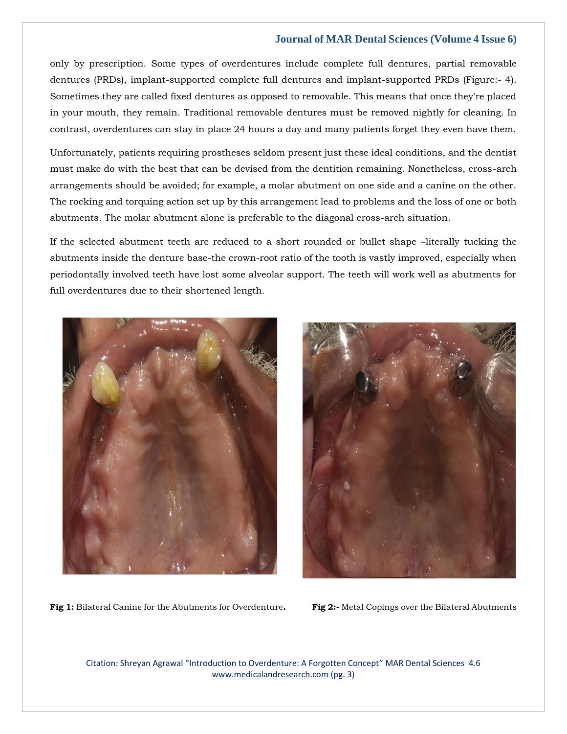only by prescription. Some types of overdentures include complete full dentures, partial removable dentures (PRDs), implant-supported complete full dentures and implant-supported PRDs (Figure:- 4). Sometimes they are called fixed dentures as opposed to removable. This means that once they're placed in your mouth, they remain. Traditional removable dentures must be removed nightly for cleaning. In contrast, overdentures can stay in place 24 hours a day and many patients forget they even have them.

Unfortunately, patients requiring prostheses seldom present just these ideal conditions, and the dentist must make do with the best that can be devised from the dentition remaining. Nonetheless, cross-arch arrangements should be avoided; for example, a molar abutment on one side and a canine on the other. The rocking and torquing action set up by this arrangement lead to problems and the loss of one or both abutments. The molar abutment alone is preferable to the diagonal cross-arch situation.

If the selected abutment teeth are reduced to a short rounded or bullet shape –literally tucking the abutments inside the denture base-the crown-root ratio of the tooth is vastly improved, especially when periodontally involved teeth have lost some alveolar support. The teeth will work well as abutments for full overdentures due to their shortened length.





**Fig 1:** Bilateral Canine for the Abutments for Overdenture**. Fig 2:-** Metal Copings over the Bilateral Abutments

Citation: Shreyan Agrawal "Introduction to Overdenture: A Forgotten Concept" MAR Dental Sciences 4.6 [www.medicalandresearch.com](http://www.medicalandresearch.com/) (pg. 3)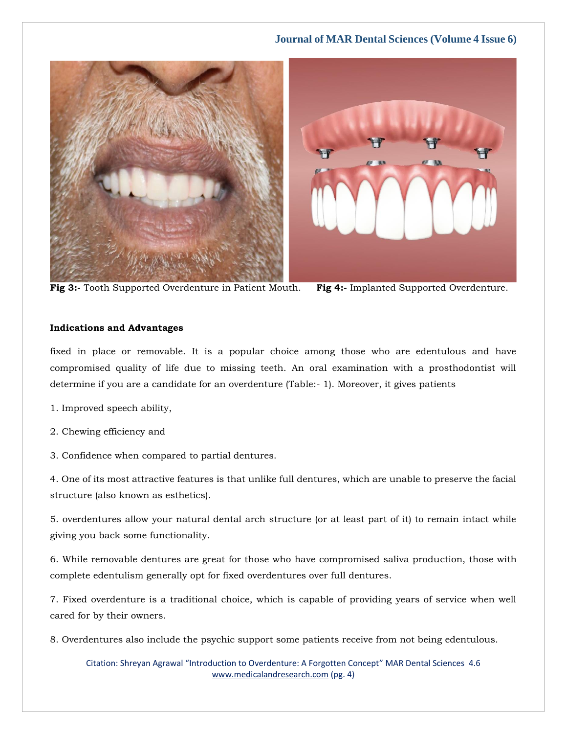

**Fig 3:-** Tooth Supported Overdenture in Patient Mouth. **Fig 4:-** Implanted Supported Overdenture.

### **Indications and Advantages**

fixed in place or removable. It is a popular choice among those who are edentulous and have compromised quality of life due to missing teeth. An oral examination with a prosthodontist will determine if you are a candidate for an overdenture (Table:- 1). Moreover, it gives patients

- 1. Improved speech ability,
- 2. Chewing efficiency and
- 3. Confidence when compared to partial dentures.

4. One of its most attractive features is that unlike full dentures, which are unable to preserve the facial structure (also known as esthetics).

5. overdentures allow your natural dental arch structure (or at least part of it) to remain intact while giving you back some functionality.

6. While removable dentures are great for those who have compromised saliva production, those with complete edentulism generally opt for fixed overdentures over full dentures.

7. Fixed overdenture is a traditional choice, which is capable of providing years of service when well cared for by their owners.

8. Overdentures also include the psychic support some patients receive from not being edentulous.

Citation: Shreyan Agrawal "Introduction to Overdenture: A Forgotten Concept" MAR Dental Sciences 4.6 [www.medicalandresearch.com](http://www.medicalandresearch.com/) (pg. 4)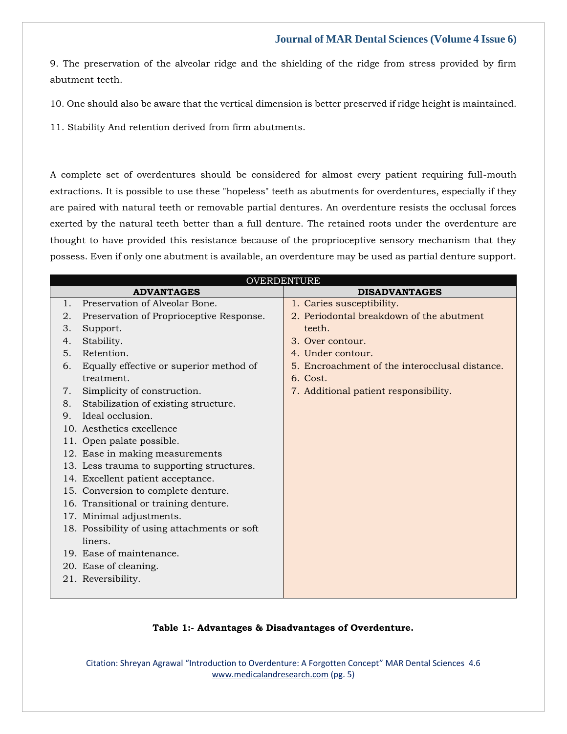9. The preservation of the alveolar ridge and the shielding of the ridge from stress provided by firm abutment teeth.

10. One should also be aware that the vertical dimension is better preserved if ridge height is maintained.

11. Stability And retention derived from firm abutments.

A complete set of overdentures should be considered for almost every patient requiring full-mouth extractions. It is possible to use these "hopeless" teeth as abutments for overdentures, especially if they are paired with natural teeth or removable partial dentures. An overdenture resists the occlusal forces exerted by the natural teeth better than a full denture. The retained roots under the overdenture are thought to have provided this resistance because of the proprioceptive sensory mechanism that they possess. Even if only one abutment is available, an overdenture may be used as partial denture support.

| <b>OVERDENTURE</b> |                                              |                                                |  |
|--------------------|----------------------------------------------|------------------------------------------------|--|
|                    | <b>ADVANTAGES</b>                            | <b>DISADVANTAGES</b>                           |  |
| 1.                 | Preservation of Alveolar Bone.               | 1. Caries susceptibility.                      |  |
| 2.                 | Preservation of Proprioceptive Response.     | 2. Periodontal breakdown of the abutment       |  |
| 3.                 | Support.                                     | teeth.                                         |  |
| 4.                 | Stability.                                   | 3. Over contour.                               |  |
| 5.                 | Retention.                                   | 4. Under contour.                              |  |
| 6.                 | Equally effective or superior method of      | 5. Encroachment of the interocclusal distance. |  |
|                    | treatment.                                   | $6.$ Cost.                                     |  |
| 7.                 | Simplicity of construction.                  | 7. Additional patient responsibility.          |  |
| 8.                 | Stabilization of existing structure.         |                                                |  |
| 9.                 | Ideal occlusion.                             |                                                |  |
|                    | 10. Aesthetics excellence                    |                                                |  |
|                    | 11. Open palate possible.                    |                                                |  |
|                    | 12. Ease in making measurements              |                                                |  |
|                    | 13. Less trauma to supporting structures.    |                                                |  |
|                    | 14. Excellent patient acceptance.            |                                                |  |
|                    | 15. Conversion to complete denture.          |                                                |  |
|                    | 16. Transitional or training denture.        |                                                |  |
|                    | 17. Minimal adjustments.                     |                                                |  |
|                    | 18. Possibility of using attachments or soft |                                                |  |
|                    | liners.                                      |                                                |  |
|                    | 19. Ease of maintenance.                     |                                                |  |
|                    | 20. Ease of cleaning.                        |                                                |  |
|                    | 21. Reversibility.                           |                                                |  |
|                    |                                              |                                                |  |

#### **Table 1:- Advantages & Disadvantages of Overdenture.**

Citation: Shreyan Agrawal "Introduction to Overdenture: A Forgotten Concept" MAR Dental Sciences 4.6 [www.medicalandresearch.com](http://www.medicalandresearch.com/) (pg. 5)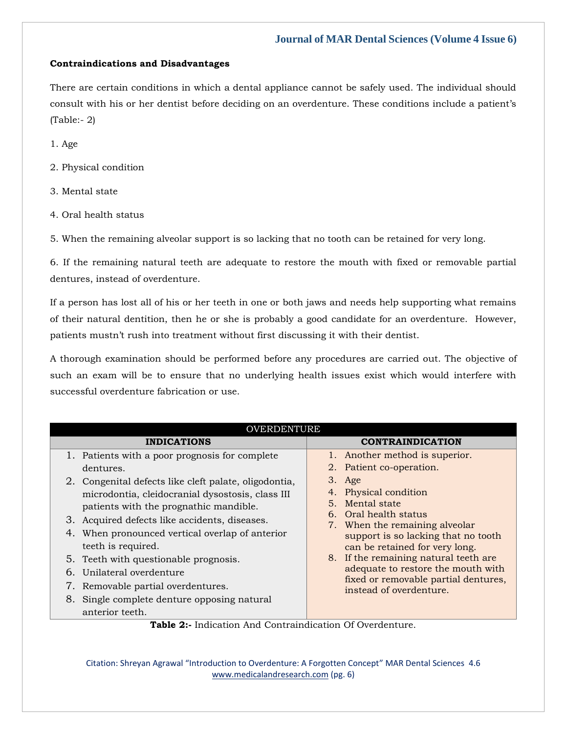## **Contraindications and Disadvantages**

There are certain conditions in which a dental appliance cannot be safely used. The individual should consult with his or her dentist before deciding on an overdenture. These conditions include a patient's (Table:- 2)

1. Age

- 2. Physical condition
- 3. Mental state
- 4. Oral health status

5. When the remaining alveolar support is so lacking that no tooth can be retained for very long.

6. If the remaining natural teeth are adequate to restore the mouth with fixed or removable partial dentures, instead of overdenture.

If a person has lost all of his or her teeth in one or both jaws and needs help supporting what remains of their natural dentition, then he or she is probably a good candidate for an overdenture. However, patients mustn't rush into treatment without first discussing it with their dentist.

A thorough examination should be performed before any procedures are carried out. The objective of such an exam will be to ensure that no underlying health issues exist which would interfere with successful overdenture fabrication or use.

| OVERDENTURE                                           |                                                                                                |  |  |
|-------------------------------------------------------|------------------------------------------------------------------------------------------------|--|--|
| <b>INDICATIONS</b>                                    | <b>CONTRAINDICATION</b>                                                                        |  |  |
| 1. Patients with a poor prognosis for complete        | 1. Another method is superior.                                                                 |  |  |
| dentures.                                             | 2. Patient co-operation.                                                                       |  |  |
| 2. Congenital defects like cleft palate, oligodontia, | 3. Age                                                                                         |  |  |
| microdontia, cleidocranial dysostosis, class III      | 4. Physical condition                                                                          |  |  |
| patients with the prognathic mandible.                | 5. Mental state                                                                                |  |  |
| 3. Acquired defects like accidents, diseases.         | 6. Oral health status<br>7. When the remaining alveolar<br>support is so lacking that no tooth |  |  |
| 4. When pronounced vertical overlap of anterior       |                                                                                                |  |  |
| teeth is required.                                    | can be retained for very long.                                                                 |  |  |
| 5. Teeth with questionable prognosis.                 | 8. If the remaining natural teeth are                                                          |  |  |
| 6. Unilateral overdenture                             | adequate to restore the mouth with                                                             |  |  |
| 7. Removable partial overdentures.                    | fixed or removable partial dentures,<br>instead of overdenture.                                |  |  |
| 8. Single complete denture opposing natural           |                                                                                                |  |  |
| anterior teeth.                                       |                                                                                                |  |  |

**Table 2:-** Indication And Contraindication Of Overdenture.

Citation: Shreyan Agrawal "Introduction to Overdenture: A Forgotten Concept" MAR Dental Sciences 4.6 [www.medicalandresearch.com](http://www.medicalandresearch.com/) (pg. 6)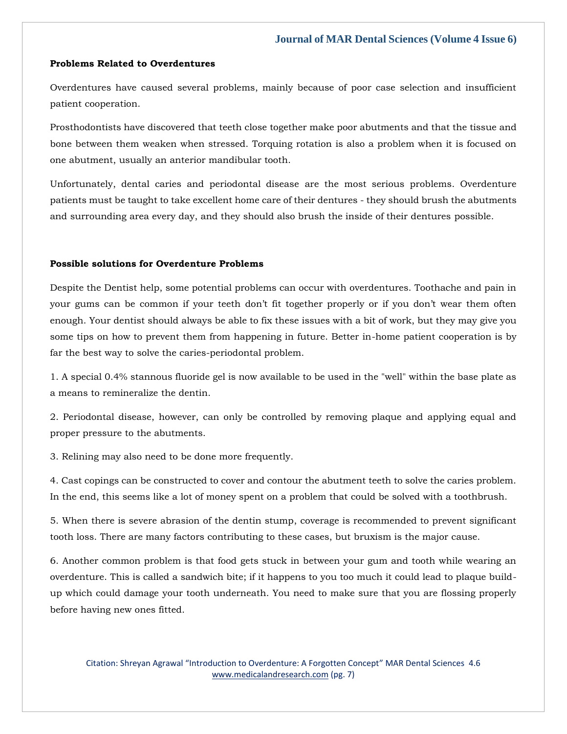#### **Problems Related to Overdentures**

Overdentures have caused several problems, mainly because of poor case selection and insufficient patient cooperation.

Prosthodontists have discovered that teeth close together make poor abutments and that the tissue and bone between them weaken when stressed. Torquing rotation is also a problem when it is focused on one abutment, usually an anterior mandibular tooth.

Unfortunately, dental caries and periodontal disease are the most serious problems. Overdenture patients must be taught to take excellent home care of their dentures - they should brush the abutments and surrounding area every day, and they should also brush the inside of their dentures possible.

#### **Possible solutions for Overdenture Problems**

Despite the Dentist help, some potential problems can occur with overdentures. Toothache and pain in your gums can be common if your teeth don't fit together properly or if you don't wear them often enough. Your dentist should always be able to fix these issues with a bit of work, but they may give you some tips on how to prevent them from happening in future. Better in-home patient cooperation is by far the best way to solve the caries-periodontal problem.

1. A special 0.4% stannous fluoride gel is now available to be used in the "well" within the base plate as a means to remineralize the dentin.

2. Periodontal disease, however, can only be controlled by removing plaque and applying equal and proper pressure to the abutments.

3. Relining may also need to be done more frequently.

4. Cast copings can be constructed to cover and contour the abutment teeth to solve the caries problem. In the end, this seems like a lot of money spent on a problem that could be solved with a toothbrush.

5. When there is severe abrasion of the dentin stump, coverage is recommended to prevent significant tooth loss. There are many factors contributing to these cases, but bruxism is the major cause.

6. Another common problem is that food gets stuck in between your gum and tooth while wearing an overdenture. This is called a sandwich bite; if it happens to you too much it could lead to plaque buildup which could damage your tooth underneath. You need to make sure that you are flossing properly before having new ones fitted.

Citation: Shreyan Agrawal "Introduction to Overdenture: A Forgotten Concept" MAR Dental Sciences 4.6 [www.medicalandresearch.com](http://www.medicalandresearch.com/) (pg. 7)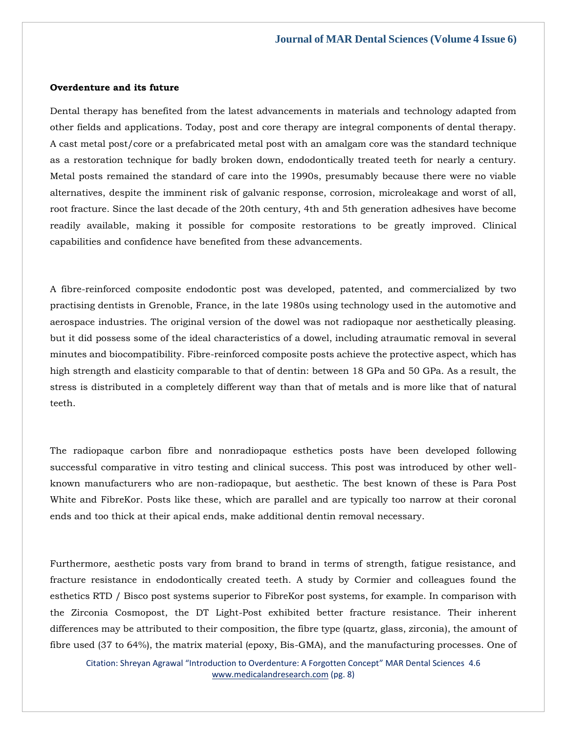#### **Overdenture and its future**

Dental therapy has benefited from the latest advancements in materials and technology adapted from other fields and applications. Today, post and core therapy are integral components of dental therapy. A cast metal post/core or a prefabricated metal post with an amalgam core was the standard technique as a restoration technique for badly broken down, endodontically treated teeth for nearly a century. Metal posts remained the standard of care into the 1990s, presumably because there were no viable alternatives, despite the imminent risk of galvanic response, corrosion, microleakage and worst of all, root fracture. Since the last decade of the 20th century, 4th and 5th generation adhesives have become readily available, making it possible for composite restorations to be greatly improved. Clinical capabilities and confidence have benefited from these advancements.

A fibre-reinforced composite endodontic post was developed, patented, and commercialized by two practising dentists in Grenoble, France, in the late 1980s using technology used in the automotive and aerospace industries. The original version of the dowel was not radiopaque nor aesthetically pleasing. but it did possess some of the ideal characteristics of a dowel, including atraumatic removal in several minutes and biocompatibility. Fibre-reinforced composite posts achieve the protective aspect, which has high strength and elasticity comparable to that of dentin: between 18 GPa and 50 GPa. As a result, the stress is distributed in a completely different way than that of metals and is more like that of natural teeth.

The radiopaque carbon fibre and nonradiopaque esthetics posts have been developed following successful comparative in vitro testing and clinical success. This post was introduced by other wellknown manufacturers who are non-radiopaque, but aesthetic. The best known of these is Para Post White and FibreKor. Posts like these, which are parallel and are typically too narrow at their coronal ends and too thick at their apical ends, make additional dentin removal necessary.

Furthermore, aesthetic posts vary from brand to brand in terms of strength, fatigue resistance, and fracture resistance in endodontically created teeth. A study by Cormier and colleagues found the esthetics RTD / Bisco post systems superior to FibreKor post systems, for example. In comparison with the Zirconia Cosmopost, the DT Light-Post exhibited better fracture resistance. Their inherent differences may be attributed to their composition, the fibre type (quartz, glass, zirconia), the amount of fibre used (37 to 64%), the matrix material (epoxy, Bis-GMA), and the manufacturing processes. One of

Citation: Shreyan Agrawal "Introduction to Overdenture: A Forgotten Concept" MAR Dental Sciences 4.6 [www.medicalandresearch.com](http://www.medicalandresearch.com/) (pg. 8)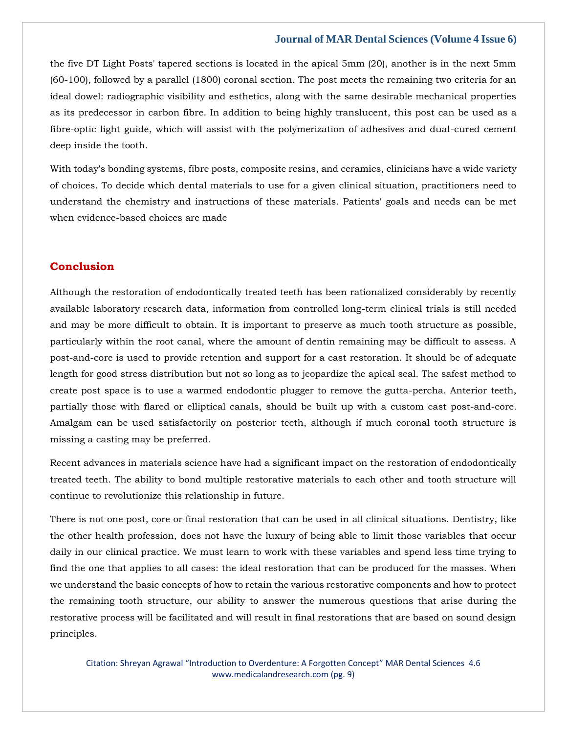the five DT Light Posts' tapered sections is located in the apical 5mm (20), another is in the next 5mm (60-100), followed by a parallel (1800) coronal section. The post meets the remaining two criteria for an ideal dowel: radiographic visibility and esthetics, along with the same desirable mechanical properties as its predecessor in carbon fibre. In addition to being highly translucent, this post can be used as a fibre-optic light guide, which will assist with the polymerization of adhesives and dual-cured cement deep inside the tooth.

With today's bonding systems, fibre posts, composite resins, and ceramics, clinicians have a wide variety of choices. To decide which dental materials to use for a given clinical situation, practitioners need to understand the chemistry and instructions of these materials. Patients' goals and needs can be met when evidence-based choices are made

# **Conclusion**

Although the restoration of endodontically treated teeth has been rationalized considerably by recently available laboratory research data, information from controlled long-term clinical trials is still needed and may be more difficult to obtain. It is important to preserve as much tooth structure as possible, particularly within the root canal, where the amount of dentin remaining may be difficult to assess. A post-and-core is used to provide retention and support for a cast restoration. It should be of adequate length for good stress distribution but not so long as to jeopardize the apical seal. The safest method to create post space is to use a warmed endodontic plugger to remove the gutta-percha. Anterior teeth, partially those with flared or elliptical canals, should be built up with a custom cast post-and-core. Amalgam can be used satisfactorily on posterior teeth, although if much coronal tooth structure is missing a casting may be preferred.

Recent advances in materials science have had a significant impact on the restoration of endodontically treated teeth. The ability to bond multiple restorative materials to each other and tooth structure will continue to revolutionize this relationship in future.

There is not one post, core or final restoration that can be used in all clinical situations. Dentistry, like the other health profession, does not have the luxury of being able to limit those variables that occur daily in our clinical practice. We must learn to work with these variables and spend less time trying to find the one that applies to all cases: the ideal restoration that can be produced for the masses. When we understand the basic concepts of how to retain the various restorative components and how to protect the remaining tooth structure, our ability to answer the numerous questions that arise during the restorative process will be facilitated and will result in final restorations that are based on sound design principles.

Citation: Shreyan Agrawal "Introduction to Overdenture: A Forgotten Concept" MAR Dental Sciences 4.6 [www.medicalandresearch.com](http://www.medicalandresearch.com/) (pg. 9)